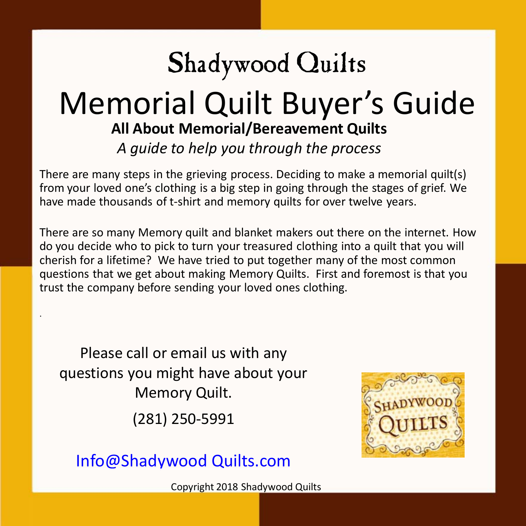# Shadywood Quilts

## Memorial Quilt Buyer's Guide **All About Memorial/Bereavement Quilts** *A guide to help you through the process*

There are many steps in the grieving process. Deciding to make a memorial quilt(s) from your loved one's clothing is a big step in going through the stages of grief. We have made thousands of t-shirt and memory quilts for over twelve years.

There are so many Memory quilt and blanket makers out there on the internet. How do you decide who to pick to turn your treasured clothing into a quilt that you will cherish for a lifetime? We have tried to put together many of the most common questions that we get about making Memory Quilts. First and foremost is that you trust the company before sending your loved ones clothing.

Please call or email us with any questions you might have about your Memory Quilt.

.

(281) 250-5991



[Info@Shadywood](mailto:Info@Shadywood Quilts.com?subject=Memorial Quilt Buyers Guide) Quilts.com

Copyright 2018 Shadywood Quilts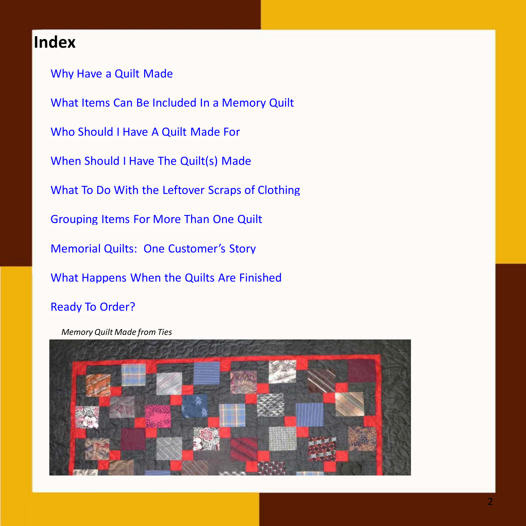#### **Index**

[Why Have a Quilt Made](#page-2-0) [What Items Can Be Included In a Memory Quilt](#page-3-0) [Who Should I Have A Quilt Made For](#page-4-0) [When Should I Have The Quilt\(s\) Made](#page-5-0) [What To Do With the Leftover Scraps of Clothing](#page-6-0) [Grouping Items For More Than One Quilt](#page-7-0) [Memorial Quilts: One Customer's Story](#page-8-0) [What Happens When the Quilts Are Finished](#page-8-0) [Ready To Order?](#page-9-0)

*Memory Quilt Made from Ties*

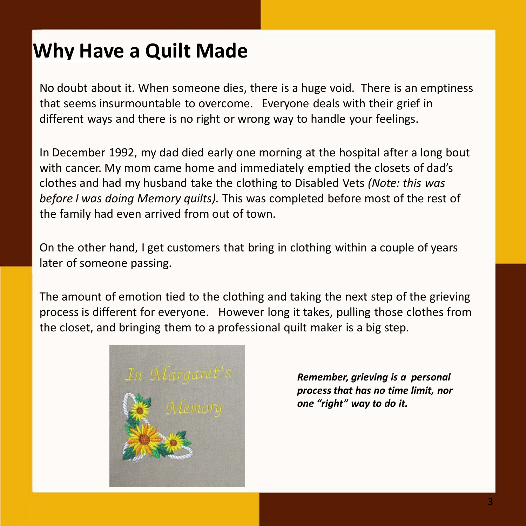## <span id="page-2-0"></span>**Why Have a Quilt Made**

No doubt about it. When someone dies, there is a huge void. There is an emptiness that seems insurmountable to overcome. Everyone deals with their grief in different ways and there is no right or wrong way to handle your feelings.

In December 1992, my dad died early one morning at the hospital after a long bout with cancer. My mom came home and immediately emptied the closets of dad's clothes and had my husband take the clothing to Disabled Vets *(Note: this was before I was doing Memory quilts).* This was completed before most of the rest of the family had even arrived from out of town.

On the other hand, I get customers that bring in clothing within a couple of years later of someone passing.

The amount of emotion tied to the clothing and taking the next step of the grieving process is different for everyone. However long it takes, pulling those clothes from the closet, and bringing them to a professional quilt maker is a big step.



*Remember, grieving is a personal process that has no time limit, nor one "right" way to do it.*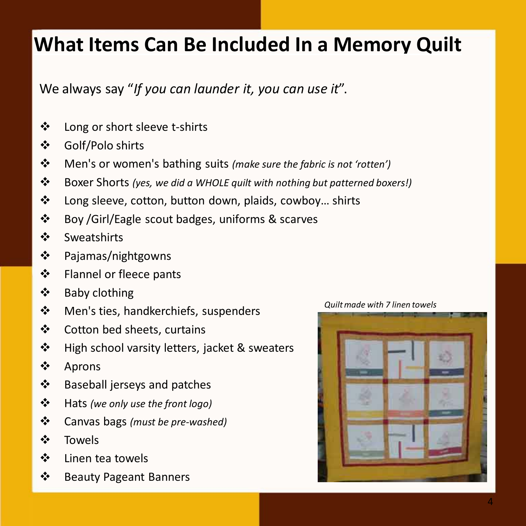## <span id="page-3-0"></span>**What Items Can Be Included In a Memory Quilt**

We always say "*If you can launder it, you can use it*".

- Long or short sleeve t-shirts
- Golf/Polo shirts
- Men's or women's bathing suits *(make sure the fabric is not 'rotten')*
- Boxer Shorts *(yes, we did a WHOLE quilt with nothing but patterned boxers!)*
- Long sleeve, cotton, button down, plaids, cowboy… shirts
- Boy /Girl/Eagle scout badges, uniforms & scarves
- ❖ Sweatshirts
- Pajamas/nightgowns
- Flannel or fleece pants
- ❖ Baby clothing
- ❖ Men's ties, handkerchiefs, suspenders
- Cotton bed sheets, curtains
- ❖ High school varsity letters, jacket & sweaters
- ❖ Aprons
- ❖ Baseball jerseys and patches
- Hats *(we only use the front logo)*
- Canvas bags *(must be pre-washed)*
- Towels
- ❖ Linen tea towels
- Beauty Pageant Banners

*Quilt made with 7 linen towels*

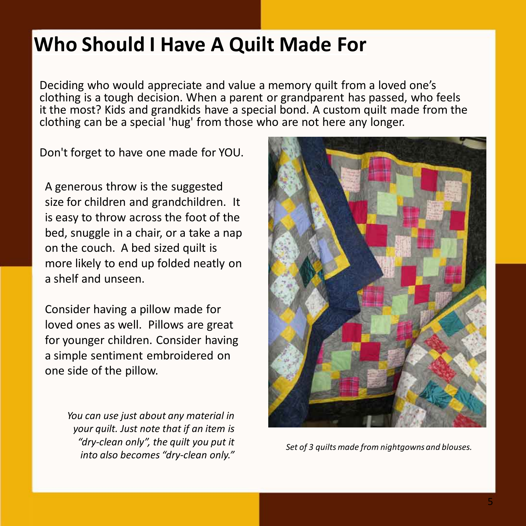## <span id="page-4-0"></span>**Who Should I Have A Quilt Made For**

Deciding who would appreciate and value a memory quilt from a loved one's clothing is a tough decision. When a parent or grandparent has passed, who feels it the most? Kids and grandkids have a special bond. A custom quilt made from the clothing can be a special 'hug' from those who are not here any longer.

Don't forget to have one made for YOU.

A generous throw is the suggested size for children and grandchildren. It is easy to throw across the foot of the bed, snuggle in a chair, or a take a nap on the couch. A bed sized quilt is more likely to end up folded neatly on a shelf and unseen.

Consider having a pillow made for loved ones as well. Pillows are great for younger children. Consider having a simple sentiment embroidered on one side of the pillow.

> *You can use just about any material in your quilt. Just note that if an item is "dry-clean only", the quilt you put it into also becomes "dry-clean only."*



*Set of 3 quilts made from nightgowns and blouses.*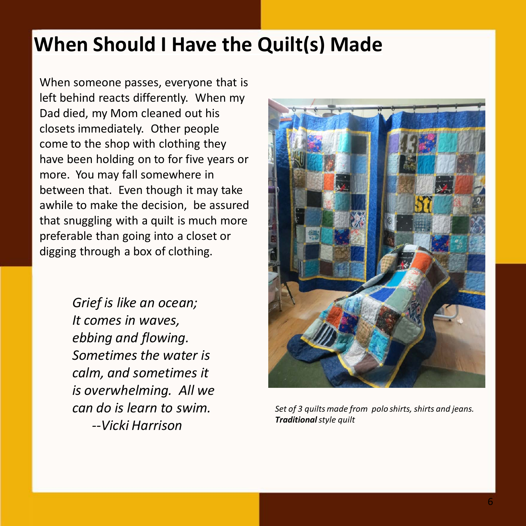## <span id="page-5-0"></span>**When Should I Have the Quilt(s) Made**

When someone passes, everyone that is left behind reacts differently. When my Dad died, my Mom cleaned out his closets immediately. Other people come to the shop with clothing they have been holding on to for five years or more. You may fall somewhere in between that. Even though it may take awhile to make the decision, be assured that snuggling with a quilt is much more preferable than going into a closet or digging through a box of clothing.

> *Grief is like an ocean; It comes in waves, ebbing and flowing. Sometimes the water is calm, and sometimes it is overwhelming. All we can do is learn to swim. --Vicki Harrison*



*Set of 3 quilts made from polo shirts, shirts and jeans. Traditionalstyle quilt*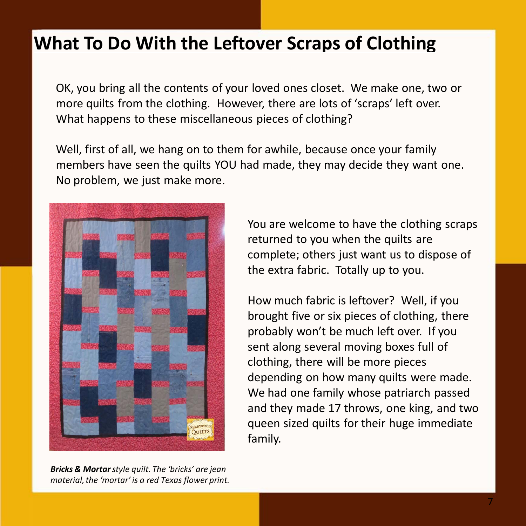### <span id="page-6-0"></span>**What To Do With the Leftover Scraps of Clothing**

OK, you bring all the contents of your loved ones closet. We make one, two or more quilts from the clothing. However, there are lots of 'scraps' left over. What happens to these miscellaneous pieces of clothing?

Well, first of all, we hang on to them for awhile, because once your family members have seen the quilts YOU had made, they may decide they want one. No problem, we just make more.



*Bricks & Mortarstyle quilt. The 'bricks' are jean material, the 'mortar' is a red Texas flower print.*

You are welcome to have the clothing scraps returned to you when the quilts are complete; others just want us to dispose of the extra fabric. Totally up to you.

How much fabric is leftover? Well, if you brought five or six pieces of clothing, there probably won't be much left over. If you sent along several moving boxes full of clothing, there will be more pieces depending on how many quilts were made. We had one family whose patriarch passed and they made 17 throws, one king, and two queen sized quilts for their huge immediate family.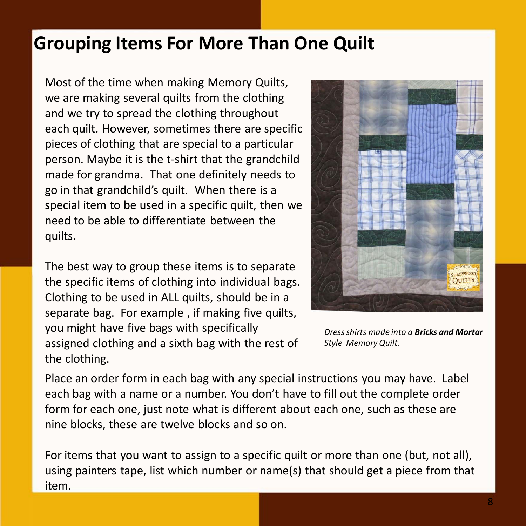### <span id="page-7-0"></span>**Grouping Items For More Than One Quilt**

Most of the time when making Memory Quilts, we are making several quilts from the clothing and we try to spread the clothing throughout each quilt. However, sometimes there are specific pieces of clothing that are special to a particular person. Maybe it is the t-shirt that the grandchild made for grandma. That one definitely needs to go in that grandchild's quilt. When there is a special item to be used in a specific quilt, then we need to be able to differentiate between the quilts.

The best way to group these items is to separate the specific items of clothing into individual bags. Clothing to be used in ALL quilts, should be in a separate bag. For example , if making five quilts, you might have five bags with specifically assigned clothing and a sixth bag with the rest of the clothing.



*Dress shirts made into a Bricks and Mortar Style Memory Quilt.*

Place an order form in each bag with any special instructions you may have. Label each bag with a name or a number. You don't have to fill out the complete order form for each one, just note what is different about each one, such as these are nine blocks, these are twelve blocks and so on.

For items that you want to assign to a specific quilt or more than one (but, not all), using painters tape, list which number or name(s) that should get a piece from that item.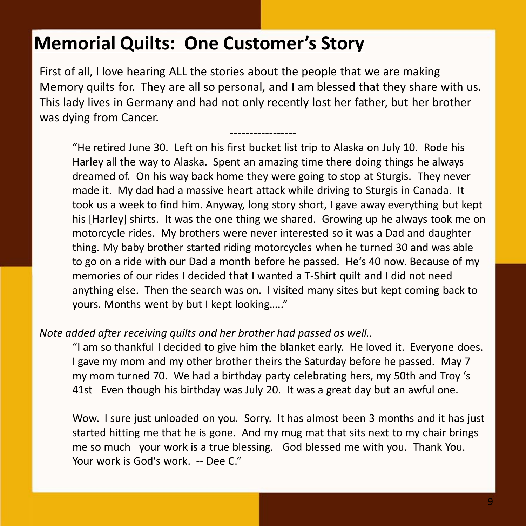#### <span id="page-8-0"></span>**Memorial Quilts: One Customer's Story**

First of all, I love hearing ALL the stories about the people that we are making Memory quilts for. They are all so personal, and I am blessed that they share with us. This lady lives in Germany and had not only recently lost her father, but her brother was dying from Cancer.

-----------------

"He retired June 30. Left on his first bucket list trip to Alaska on July 10. Rode his Harley all the way to Alaska. Spent an amazing time there doing things he always dreamed of. On his way back home they were going to stop at Sturgis. They never made it. My dad had a massive heart attack while driving to Sturgis in Canada. It took us a week to find him. Anyway, long story short, I gave away everything but kept his [Harley] shirts. It was the one thing we shared. Growing up he always took me on motorcycle rides. My brothers were never interested so it was a Dad and daughter thing. My baby brother started riding motorcycles when he turned 30 and was able to go on a ride with our Dad a month before he passed. He's 40 now. Because of my memories of our rides I decided that I wanted a T-Shirt quilt and I did not need anything else. Then the search was on. I visited many sites but kept coming back to yours. Months went by but I kept looking….."

#### *Note added after receiving quilts and her brother had passed as well..*

"I am so thankful I decided to give him the blanket early. He loved it. Everyone does. I gave my mom and my other brother theirs the Saturday before he passed. May 7 my mom turned 70. We had a birthday party celebrating hers, my 50th and Troy 's 41st Even though his birthday was July 20. It was a great day but an awful one.

Wow. I sure just unloaded on you. Sorry. It has almost been 3 months and it has just started hitting me that he is gone. And my mug mat that sits next to my chair brings me so much your work is a true blessing. God blessed me with you. Thank You. Your work is God's work. -- Dee C."